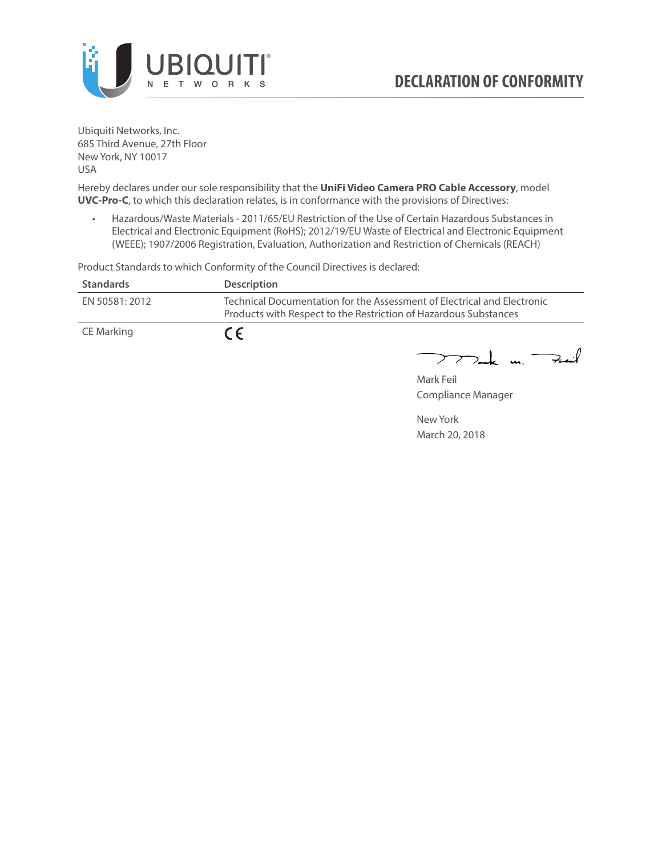

Ubiquiti Networks, Inc. 685 Third Avenue, 27th Floor New York, NY 10017 USA

Hereby declares under our sole responsibility that the **UniFi Video Camera PRO Cable Accessory**, model **UVC-Pro-C**, to which this declaration relates, is in conformance with the provisions of Directives:

• Hazardous/Waste Materials - 2011/65/EU Restriction of the Use of Certain Hazardous Substances in Electrical and Electronic Equipment (RoHS); 2012/19/EU Waste of Electrical and Electronic Equipment (WEEE); 1907/2006 Registration, Evaluation, Authorization and Restriction of Chemicals (REACH)

**Standards Description** EN 50581: 2012 Technical Documentation for the Assessment of Electrical and Electronic Products with Respect to the Restriction of Hazardous Substances CE Marking  $C \in$ 

Product Standards to which Conformity of the Council Directives is declared:

 $>$ ak un  $\rightarrow$ ail

Mark Feil Compliance Manager

New York March 20, 2018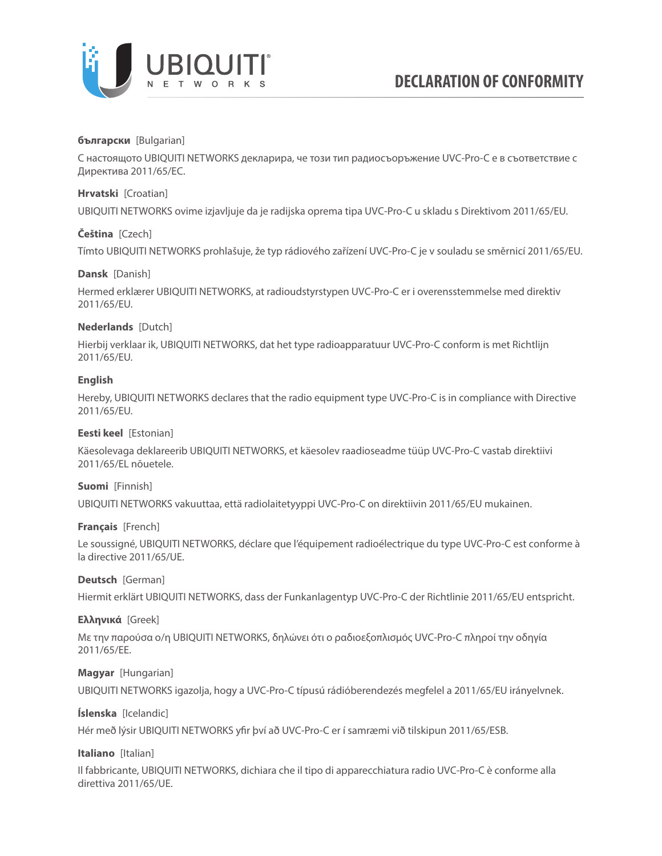

### **български** [Bulgarian]

С настоящото UBIQUITI NETWORKS декларира, че този тип радиосъоръжение UVC-Pro-C е в съответствие с Директива 2011/65/ЕС.

### **Hrvatski** [Croatian]

UBIQUITI NETWORKS ovime izjavljuje da je radijska oprema tipa UVC-Pro-C u skladu s Direktivom 2011/65/ЕU.

# **Čeština** [Czech]

Tímto UBIQUITI NETWORKS prohlašuje, že typ rádiového zařízení UVC-Pro-C je v souladu se směrnicí 2011/65/ЕU.

### **Dansk** [Danish]

Hermed erklærer UBIQUITI NETWORKS, at radioudstyrstypen UVC-Pro-C er i overensstemmelse med direktiv 2011/65/ЕU.

# **Nederlands** [Dutch]

Hierbij verklaar ik, UBIQUITI NETWORKS, dat het type radioapparatuur UVC-Pro-C conform is met Richtlijn 2011/65/ЕU.

# **English**

Hereby, UBIQUITI NETWORKS declares that the radio equipment type UVC-Pro-C is in compliance with Directive 2011/65/ЕU.

### **Eesti keel** [Estonian]

Käesolevaga deklareerib UBIQUITI NETWORKS, et käesolev raadioseadme tüüp UVC-Pro-C vastab direktiivi 2011/65/EL nõuetele.

### **Suomi** [Finnish]

UBIQUITI NETWORKS vakuuttaa, että radiolaitetyyppi UVC-Pro-C on direktiivin 2011/65/EU mukainen.

### **Français** [French]

Le soussigné, UBIQUITI NETWORKS, déclare que l'équipement radioélectrique du type UVC-Pro-C est conforme à la directive 2011/65/UE.

### **Deutsch** [German]

Hiermit erklärt UBIQUITI NETWORKS, dass der Funkanlagentyp UVC-Pro-C der Richtlinie 2011/65/EU entspricht.

### **Ελληνικά** [Greek]

Με την παρούσα ο/η UBIQUITI NETWORKS, δηλώνει ότι ο ραδιοεξοπλισμός UVC-Pro-C πληροί την οδηγία 2011/65/EE.

### **Magyar** [Hungarian]

UBIQUITI NETWORKS igazolja, hogy a UVC-Pro-C típusú rádióberendezés megfelel a 2011/65/EU irányelvnek.

# **Íslenska** [Icelandic]

Hér með lýsir UBIQUITI NETWORKS yfir því að UVC-Pro-C er í samræmi við tilskipun 2011/65/ESB.

### **Italiano** [Italian]

Il fabbricante, UBIQUITI NETWORKS, dichiara che il tipo di apparecchiatura radio UVC-Pro-C è conforme alla direttiva 2011/65/UE.